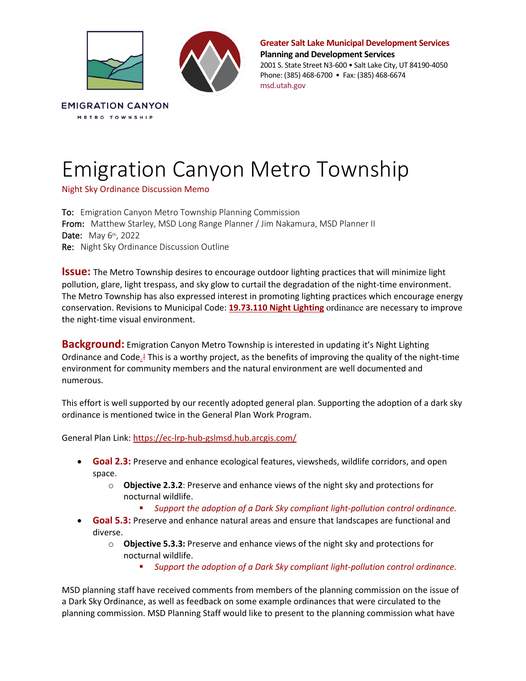

**Greater Salt Lake Municipal Development Services Planning and Development Services**

2001 S. State Street N3-600 • Salt Lake City, UT 84190-4050 Phone: (385) 468-6700 • Fax: (385) 468-6674 msd.utah.gov

## Emigration Canyon Metro Township

Night Sky Ordinance Discussion Memo

To: Emigration Canyon Metro Township Planning Commission From: Matthew Starley, MSD Long Range Planner / Jim Nakamura, MSD Planner II Date: May 6th, 2022 Re: Night Sky Ordinance Discussion Outline

**Issue:** The Metro Township desires to encourage outdoor lighting practices that will minimize light pollution, glare, light trespass, and sky glow to curtail the degradation of the night-time environment. The Metro Township has also expressed interest in promoting lighting practices which encourage energy conservation. Revisions to Municipal Code: **19.73.110 Night Lighting** ordinance are necessary to improve the night-time visual environment.

**Background:** Emigration Canyon Metro Township is interested in updating it's Night Lighting Ordinance and Code.! This is a worthy project, as the benefits of improving the quality of the night-time environment for community members and the natural environment are well documented and numerous.

This effort is well supported by our recently adopted general plan. Supporting the adoption of a dark sky ordinance is mentioned twice in the General Plan Work Program.

General Plan Link: https://ec-lrp-hub-gslmsd.hub.arcgis.com/

- **Goal 2.3:** Preserve and enhance ecological features, viewsheds, wildlife corridors, and open space.
	- o **Objective 2.3.2**: Preserve and enhance views of the night sky and protections for nocturnal wildlife.
		- *Support the adoption of a Dark Sky compliant light-pollution control ordinance.*
- **Goal 5.3:** Preserve and enhance natural areas and ensure that landscapes are functional and diverse.
	- o **Objective 5.3.3:** Preserve and enhance views of the night sky and protections for nocturnal wildlife.
		- *Support the adoption of a Dark Sky compliant light-pollution control ordinance.*

MSD planning staff have received comments from members of the planning commission on the issue of a Dark Sky Ordinance, as well as feedback on some example ordinances that were circulated to the planning commission. MSD Planning Staff would like to present to the planning commission what have